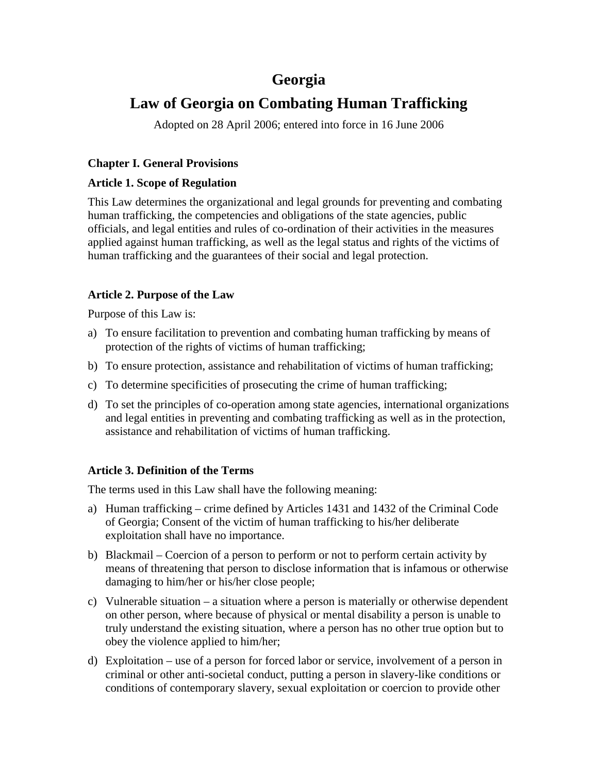# **Georgia**

# **Law of Georgia on Combating Human Trafficking**

Adopted on 28 April 2006; entered into force in 16 June 2006

# **Chapter I. General Provisions**

## **Article 1. Scope of Regulation**

This Law determines the organizational and legal grounds for preventing and combating human trafficking, the competencies and obligations of the state agencies, public officials, and legal entities and rules of co-ordination of their activities in the measures applied against human trafficking, as well as the legal status and rights of the victims of human trafficking and the guarantees of their social and legal protection.

# **Article 2. Purpose of the Law**

Purpose of this Law is:

- a) To ensure facilitation to prevention and combating human trafficking by means of protection of the rights of victims of human trafficking;
- b) To ensure protection, assistance and rehabilitation of victims of human trafficking;
- c) To determine specificities of prosecuting the crime of human trafficking;
- d) To set the principles of co-operation among state agencies, international organizations and legal entities in preventing and combating trafficking as well as in the protection, assistance and rehabilitation of victims of human trafficking.

## **Article 3. Definition of the Terms**

The terms used in this Law shall have the following meaning:

- a) Human trafficking crime defined by Articles 1431 and 1432 of the Criminal Code of Georgia; Consent of the victim of human trafficking to his/her deliberate exploitation shall have no importance.
- b) Blackmail Coercion of a person to perform or not to perform certain activity by means of threatening that person to disclose information that is infamous or otherwise damaging to him/her or his/her close people;
- c) Vulnerable situation a situation where a person is materially or otherwise dependent on other person, where because of physical or mental disability a person is unable to truly understand the existing situation, where a person has no other true option but to obey the violence applied to him/her;
- d) Exploitation use of a person for forced labor or service, involvement of a person in criminal or other anti-societal conduct, putting a person in slavery-like conditions or conditions of contemporary slavery, sexual exploitation or coercion to provide other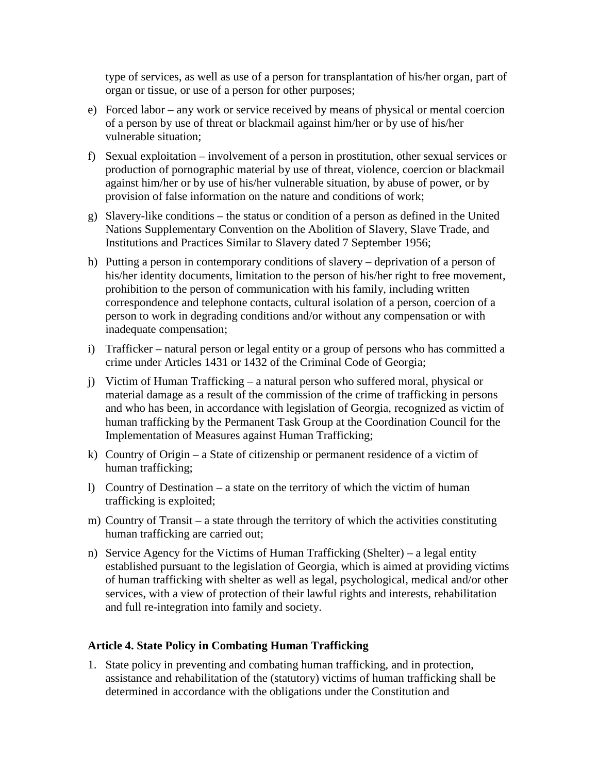type of services, as well as use of a person for transplantation of his/her organ, part of organ or tissue, or use of a person for other purposes;

- e) Forced labor any work or service received by means of physical or mental coercion of a person by use of threat or blackmail against him/her or by use of his/her vulnerable situation;
- f) Sexual exploitation involvement of a person in prostitution, other sexual services or production of pornographic material by use of threat, violence, coercion or blackmail against him/her or by use of his/her vulnerable situation, by abuse of power, or by provision of false information on the nature and conditions of work;
- g) Slavery-like conditions the status or condition of a person as defined in the United Nations Supplementary Convention on the Abolition of Slavery, Slave Trade, and Institutions and Practices Similar to Slavery dated 7 September 1956;
- h) Putting a person in contemporary conditions of slavery deprivation of a person of his/her identity documents, limitation to the person of his/her right to free movement, prohibition to the person of communication with his family, including written correspondence and telephone contacts, cultural isolation of a person, coercion of a person to work in degrading conditions and/or without any compensation or with inadequate compensation;
- i) Trafficker natural person or legal entity or a group of persons who has committed a crime under Articles 1431 or 1432 of the Criminal Code of Georgia;
- j) Victim of Human Trafficking a natural person who suffered moral, physical or material damage as a result of the commission of the crime of trafficking in persons and who has been, in accordance with legislation of Georgia, recognized as victim of human trafficking by the Permanent Task Group at the Coordination Council for the Implementation of Measures against Human Trafficking;
- k) Country of Origin a State of citizenship or permanent residence of a victim of human trafficking;
- l) Country of Destination a state on the territory of which the victim of human trafficking is exploited;
- m) Country of Transit a state through the territory of which the activities constituting human trafficking are carried out;
- n) Service Agency for the Victims of Human Trafficking (Shelter) a legal entity established pursuant to the legislation of Georgia, which is aimed at providing victims of human trafficking with shelter as well as legal, psychological, medical and/or other services, with a view of protection of their lawful rights and interests, rehabilitation and full re-integration into family and society.

## **Article 4. State Policy in Combating Human Trafficking**

1. State policy in preventing and combating human trafficking, and in protection, assistance and rehabilitation of the (statutory) victims of human trafficking shall be determined in accordance with the obligations under the Constitution and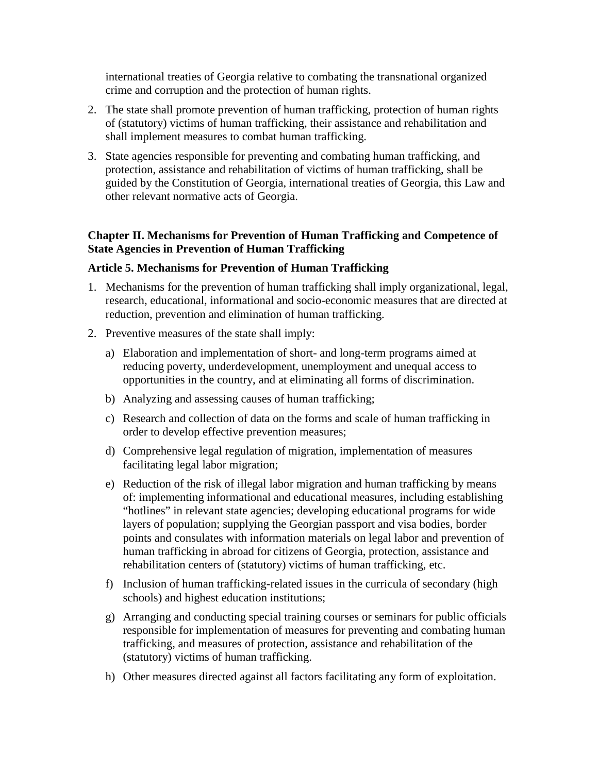international treaties of Georgia relative to combating the transnational organized crime and corruption and the protection of human rights.

- 2. The state shall promote prevention of human trafficking, protection of human rights of (statutory) victims of human trafficking, their assistance and rehabilitation and shall implement measures to combat human trafficking.
- 3. State agencies responsible for preventing and combating human trafficking, and protection, assistance and rehabilitation of victims of human trafficking, shall be guided by the Constitution of Georgia, international treaties of Georgia, this Law and other relevant normative acts of Georgia.

## **Chapter II. Mechanisms for Prevention of Human Trafficking and Competence of State Agencies in Prevention of Human Trafficking**

#### **Article 5. Mechanisms for Prevention of Human Trafficking**

- 1. Mechanisms for the prevention of human trafficking shall imply organizational, legal, research, educational, informational and socio-economic measures that are directed at reduction, prevention and elimination of human trafficking.
- 2. Preventive measures of the state shall imply:
	- a) Elaboration and implementation of short- and long-term programs aimed at reducing poverty, underdevelopment, unemployment and unequal access to opportunities in the country, and at eliminating all forms of discrimination.
	- b) Analyzing and assessing causes of human trafficking;
	- c) Research and collection of data on the forms and scale of human trafficking in order to develop effective prevention measures;
	- d) Comprehensive legal regulation of migration, implementation of measures facilitating legal labor migration;
	- e) Reduction of the risk of illegal labor migration and human trafficking by means of: implementing informational and educational measures, including establishing "hotlines" in relevant state agencies; developing educational programs for wide layers of population; supplying the Georgian passport and visa bodies, border points and consulates with information materials on legal labor and prevention of human trafficking in abroad for citizens of Georgia, protection, assistance and rehabilitation centers of (statutory) victims of human trafficking, etc.
	- f) Inclusion of human trafficking-related issues in the curricula of secondary (high schools) and highest education institutions;
	- g) Arranging and conducting special training courses or seminars for public officials responsible for implementation of measures for preventing and combating human trafficking, and measures of protection, assistance and rehabilitation of the (statutory) victims of human trafficking.
	- h) Other measures directed against all factors facilitating any form of exploitation.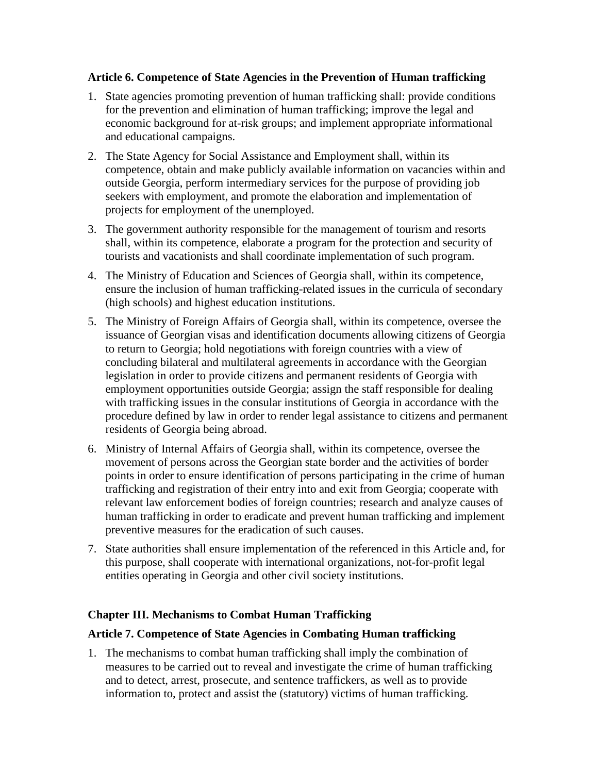#### **Article 6. Competence of State Agencies in the Prevention of Human trafficking**

- 1. State agencies promoting prevention of human trafficking shall: provide conditions for the prevention and elimination of human trafficking; improve the legal and economic background for at-risk groups; and implement appropriate informational and educational campaigns.
- 2. The State Agency for Social Assistance and Employment shall, within its competence, obtain and make publicly available information on vacancies within and outside Georgia, perform intermediary services for the purpose of providing job seekers with employment, and promote the elaboration and implementation of projects for employment of the unemployed.
- 3. The government authority responsible for the management of tourism and resorts shall, within its competence, elaborate a program for the protection and security of tourists and vacationists and shall coordinate implementation of such program.
- 4. The Ministry of Education and Sciences of Georgia shall, within its competence, ensure the inclusion of human trafficking-related issues in the curricula of secondary (high schools) and highest education institutions.
- 5. The Ministry of Foreign Affairs of Georgia shall, within its competence, oversee the issuance of Georgian visas and identification documents allowing citizens of Georgia to return to Georgia; hold negotiations with foreign countries with a view of concluding bilateral and multilateral agreements in accordance with the Georgian legislation in order to provide citizens and permanent residents of Georgia with employment opportunities outside Georgia; assign the staff responsible for dealing with trafficking issues in the consular institutions of Georgia in accordance with the procedure defined by law in order to render legal assistance to citizens and permanent residents of Georgia being abroad.
- 6. Ministry of Internal Affairs of Georgia shall, within its competence, oversee the movement of persons across the Georgian state border and the activities of border points in order to ensure identification of persons participating in the crime of human trafficking and registration of their entry into and exit from Georgia; cooperate with relevant law enforcement bodies of foreign countries; research and analyze causes of human trafficking in order to eradicate and prevent human trafficking and implement preventive measures for the eradication of such causes.
- 7. State authorities shall ensure implementation of the referenced in this Article and, for this purpose, shall cooperate with international organizations, not-for-profit legal entities operating in Georgia and other civil society institutions.

## **Chapter III. Mechanisms to Combat Human Trafficking**

#### **Article 7. Competence of State Agencies in Combating Human trafficking**

1. The mechanisms to combat human trafficking shall imply the combination of measures to be carried out to reveal and investigate the crime of human trafficking and to detect, arrest, prosecute, and sentence traffickers, as well as to provide information to, protect and assist the (statutory) victims of human trafficking.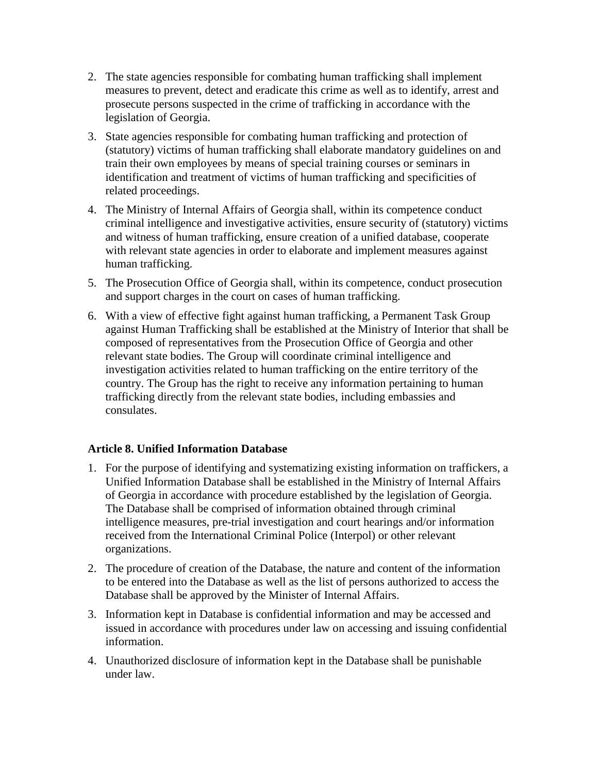- 2. The state agencies responsible for combating human trafficking shall implement measures to prevent, detect and eradicate this crime as well as to identify, arrest and prosecute persons suspected in the crime of trafficking in accordance with the legislation of Georgia.
- 3. State agencies responsible for combating human trafficking and protection of (statutory) victims of human trafficking shall elaborate mandatory guidelines on and train their own employees by means of special training courses or seminars in identification and treatment of victims of human trafficking and specificities of related proceedings.
- 4. The Ministry of Internal Affairs of Georgia shall, within its competence conduct criminal intelligence and investigative activities, ensure security of (statutory) victims and witness of human trafficking, ensure creation of a unified database, cooperate with relevant state agencies in order to elaborate and implement measures against human trafficking.
- 5. The Prosecution Office of Georgia shall, within its competence, conduct prosecution and support charges in the court on cases of human trafficking.
- 6. With a view of effective fight against human trafficking, a Permanent Task Group against Human Trafficking shall be established at the Ministry of Interior that shall be composed of representatives from the Prosecution Office of Georgia and other relevant state bodies. The Group will coordinate criminal intelligence and investigation activities related to human trafficking on the entire territory of the country. The Group has the right to receive any information pertaining to human trafficking directly from the relevant state bodies, including embassies and consulates.

## **Article 8. Unified Information Database**

- 1. For the purpose of identifying and systematizing existing information on traffickers, a Unified Information Database shall be established in the Ministry of Internal Affairs of Georgia in accordance with procedure established by the legislation of Georgia. The Database shall be comprised of information obtained through criminal intelligence measures, pre-trial investigation and court hearings and/or information received from the International Criminal Police (Interpol) or other relevant organizations.
- 2. The procedure of creation of the Database, the nature and content of the information to be entered into the Database as well as the list of persons authorized to access the Database shall be approved by the Minister of Internal Affairs.
- 3. Information kept in Database is confidential information and may be accessed and issued in accordance with procedures under law on accessing and issuing confidential information.
- 4. Unauthorized disclosure of information kept in the Database shall be punishable under law.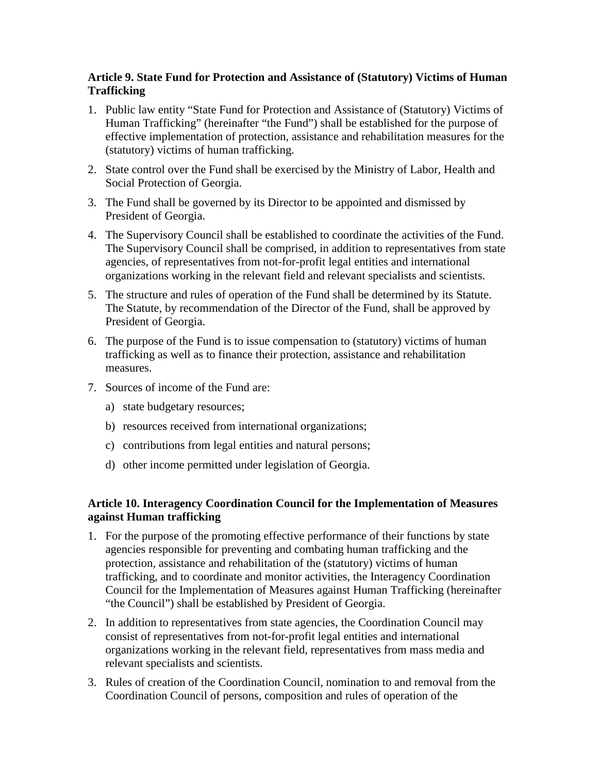## **Article 9. State Fund for Protection and Assistance of (Statutory) Victims of Human Trafficking**

- 1. Public law entity "State Fund for Protection and Assistance of (Statutory) Victims of Human Trafficking" (hereinafter "the Fund") shall be established for the purpose of effective implementation of protection, assistance and rehabilitation measures for the (statutory) victims of human trafficking.
- 2. State control over the Fund shall be exercised by the Ministry of Labor, Health and Social Protection of Georgia.
- 3. The Fund shall be governed by its Director to be appointed and dismissed by President of Georgia.
- 4. The Supervisory Council shall be established to coordinate the activities of the Fund. The Supervisory Council shall be comprised, in addition to representatives from state agencies, of representatives from not-for-profit legal entities and international organizations working in the relevant field and relevant specialists and scientists.
- 5. The structure and rules of operation of the Fund shall be determined by its Statute. The Statute, by recommendation of the Director of the Fund, shall be approved by President of Georgia.
- 6. The purpose of the Fund is to issue compensation to (statutory) victims of human trafficking as well as to finance their protection, assistance and rehabilitation measures.
- 7. Sources of income of the Fund are:
	- a) state budgetary resources;
	- b) resources received from international organizations;
	- c) contributions from legal entities and natural persons;
	- d) other income permitted under legislation of Georgia.

## **Article 10. Interagency Coordination Council for the Implementation of Measures against Human trafficking**

- 1. For the purpose of the promoting effective performance of their functions by state agencies responsible for preventing and combating human trafficking and the protection, assistance and rehabilitation of the (statutory) victims of human trafficking, and to coordinate and monitor activities, the Interagency Coordination Council for the Implementation of Measures against Human Trafficking (hereinafter "the Council") shall be established by President of Georgia.
- 2. In addition to representatives from state agencies, the Coordination Council may consist of representatives from not-for-profit legal entities and international organizations working in the relevant field, representatives from mass media and relevant specialists and scientists.
- 3. Rules of creation of the Coordination Council, nomination to and removal from the Coordination Council of persons, composition and rules of operation of the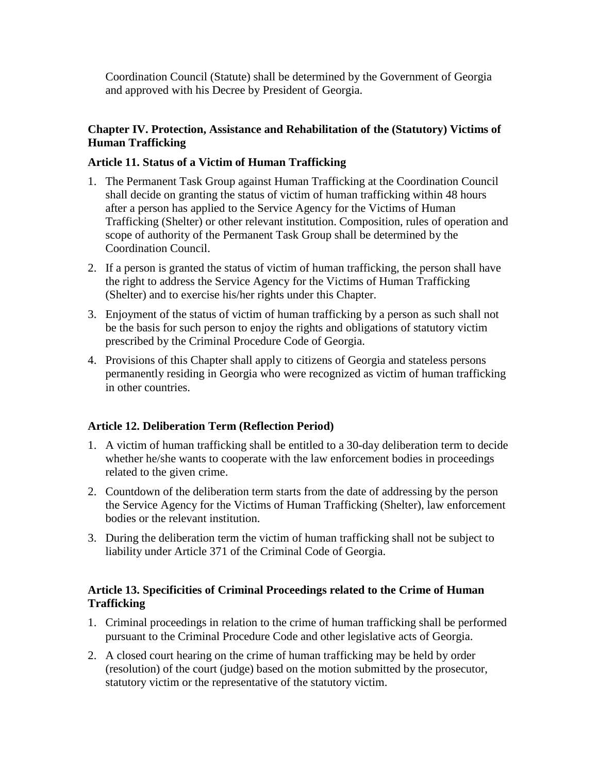Coordination Council (Statute) shall be determined by the Government of Georgia and approved with his Decree by President of Georgia.

## **Chapter IV. Protection, Assistance and Rehabilitation of the (Statutory) Victims of Human Trafficking**

#### **Article 11. Status of a Victim of Human Trafficking**

- 1. The Permanent Task Group against Human Trafficking at the Coordination Council shall decide on granting the status of victim of human trafficking within 48 hours after a person has applied to the Service Agency for the Victims of Human Trafficking (Shelter) or other relevant institution. Composition, rules of operation and scope of authority of the Permanent Task Group shall be determined by the Coordination Council.
- 2. If a person is granted the status of victim of human trafficking, the person shall have the right to address the Service Agency for the Victims of Human Trafficking (Shelter) and to exercise his/her rights under this Chapter.
- 3. Enjoyment of the status of victim of human trafficking by a person as such shall not be the basis for such person to enjoy the rights and obligations of statutory victim prescribed by the Criminal Procedure Code of Georgia.
- 4. Provisions of this Chapter shall apply to citizens of Georgia and stateless persons permanently residing in Georgia who were recognized as victim of human trafficking in other countries.

## **Article 12. Deliberation Term (Reflection Period)**

- 1. A victim of human trafficking shall be entitled to a 30-day deliberation term to decide whether he/she wants to cooperate with the law enforcement bodies in proceedings related to the given crime.
- 2. Countdown of the deliberation term starts from the date of addressing by the person the Service Agency for the Victims of Human Trafficking (Shelter), law enforcement bodies or the relevant institution.
- 3. During the deliberation term the victim of human trafficking shall not be subject to liability under Article 371 of the Criminal Code of Georgia.

## **Article 13. Specificities of Criminal Proceedings related to the Crime of Human Trafficking**

- 1. Criminal proceedings in relation to the crime of human trafficking shall be performed pursuant to the Criminal Procedure Code and other legislative acts of Georgia.
- 2. A closed court hearing on the crime of human trafficking may be held by order (resolution) of the court (judge) based on the motion submitted by the prosecutor, statutory victim or the representative of the statutory victim.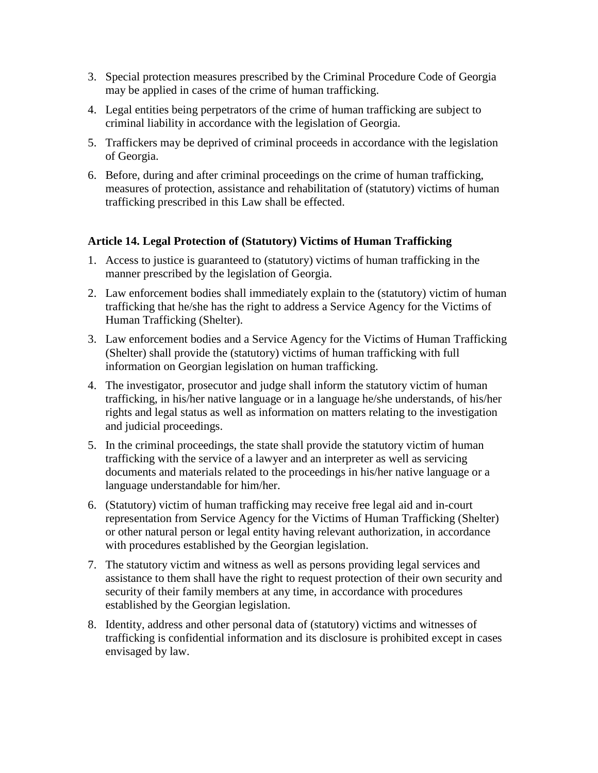- 3. Special protection measures prescribed by the Criminal Procedure Code of Georgia may be applied in cases of the crime of human trafficking.
- 4. Legal entities being perpetrators of the crime of human trafficking are subject to criminal liability in accordance with the legislation of Georgia.
- 5. Traffickers may be deprived of criminal proceeds in accordance with the legislation of Georgia.
- 6. Before, during and after criminal proceedings on the crime of human trafficking, measures of protection, assistance and rehabilitation of (statutory) victims of human trafficking prescribed in this Law shall be effected.

## **Article 14. Legal Protection of (Statutory) Victims of Human Trafficking**

- 1. Access to justice is guaranteed to (statutory) victims of human trafficking in the manner prescribed by the legislation of Georgia.
- 2. Law enforcement bodies shall immediately explain to the (statutory) victim of human trafficking that he/she has the right to address a Service Agency for the Victims of Human Trafficking (Shelter).
- 3. Law enforcement bodies and a Service Agency for the Victims of Human Trafficking (Shelter) shall provide the (statutory) victims of human trafficking with full information on Georgian legislation on human trafficking.
- 4. The investigator, prosecutor and judge shall inform the statutory victim of human trafficking, in his/her native language or in a language he/she understands, of his/her rights and legal status as well as information on matters relating to the investigation and judicial proceedings.
- 5. In the criminal proceedings, the state shall provide the statutory victim of human trafficking with the service of a lawyer and an interpreter as well as servicing documents and materials related to the proceedings in his/her native language or a language understandable for him/her.
- 6. (Statutory) victim of human trafficking may receive free legal aid and in-court representation from Service Agency for the Victims of Human Trafficking (Shelter) or other natural person or legal entity having relevant authorization, in accordance with procedures established by the Georgian legislation.
- 7. The statutory victim and witness as well as persons providing legal services and assistance to them shall have the right to request protection of their own security and security of their family members at any time, in accordance with procedures established by the Georgian legislation.
- 8. Identity, address and other personal data of (statutory) victims and witnesses of trafficking is confidential information and its disclosure is prohibited except in cases envisaged by law.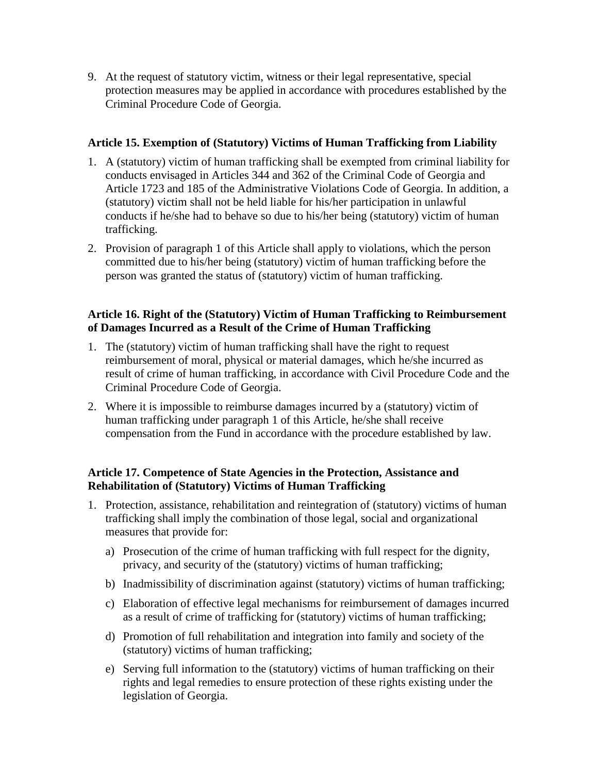9. At the request of statutory victim, witness or their legal representative, special protection measures may be applied in accordance with procedures established by the Criminal Procedure Code of Georgia.

#### **Article 15. Exemption of (Statutory) Victims of Human Trafficking from Liability**

- 1. A (statutory) victim of human trafficking shall be exempted from criminal liability for conducts envisaged in Articles 344 and 362 of the Criminal Code of Georgia and Article 1723 and 185 of the Administrative Violations Code of Georgia. In addition, a (statutory) victim shall not be held liable for his/her participation in unlawful conducts if he/she had to behave so due to his/her being (statutory) victim of human trafficking.
- 2. Provision of paragraph 1 of this Article shall apply to violations, which the person committed due to his/her being (statutory) victim of human trafficking before the person was granted the status of (statutory) victim of human trafficking.

#### **Article 16. Right of the (Statutory) Victim of Human Trafficking to Reimbursement of Damages Incurred as a Result of the Crime of Human Trafficking**

- 1. The (statutory) victim of human trafficking shall have the right to request reimbursement of moral, physical or material damages, which he/she incurred as result of crime of human trafficking, in accordance with Civil Procedure Code and the Criminal Procedure Code of Georgia.
- 2. Where it is impossible to reimburse damages incurred by a (statutory) victim of human trafficking under paragraph 1 of this Article, he/she shall receive compensation from the Fund in accordance with the procedure established by law.

## **Article 17. Competence of State Agencies in the Protection, Assistance and Rehabilitation of (Statutory) Victims of Human Trafficking**

- 1. Protection, assistance, rehabilitation and reintegration of (statutory) victims of human trafficking shall imply the combination of those legal, social and organizational measures that provide for:
	- a) Prosecution of the crime of human trafficking with full respect for the dignity, privacy, and security of the (statutory) victims of human trafficking;
	- b) Inadmissibility of discrimination against (statutory) victims of human trafficking;
	- c) Elaboration of effective legal mechanisms for reimbursement of damages incurred as a result of crime of trafficking for (statutory) victims of human trafficking;
	- d) Promotion of full rehabilitation and integration into family and society of the (statutory) victims of human trafficking;
	- e) Serving full information to the (statutory) victims of human trafficking on their rights and legal remedies to ensure protection of these rights existing under the legislation of Georgia.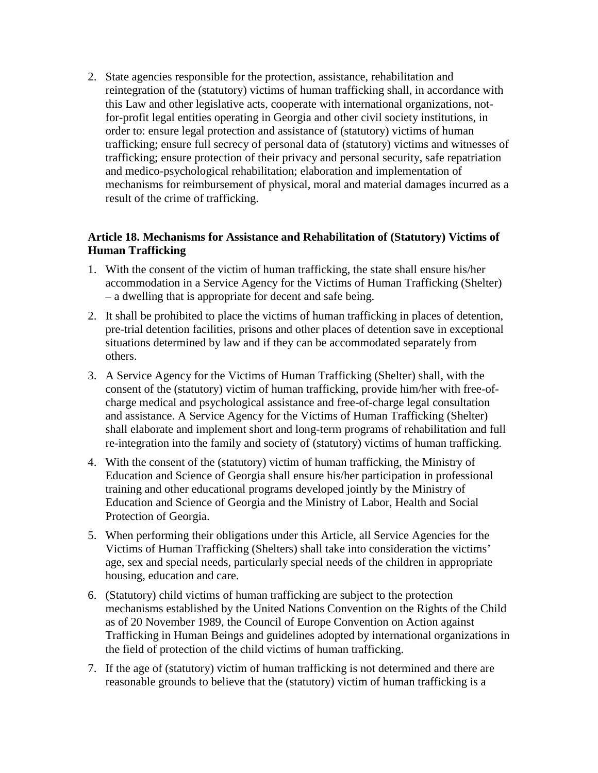2. State agencies responsible for the protection, assistance, rehabilitation and reintegration of the (statutory) victims of human trafficking shall, in accordance with this Law and other legislative acts, cooperate with international organizations, notfor-profit legal entities operating in Georgia and other civil society institutions, in order to: ensure legal protection and assistance of (statutory) victims of human trafficking; ensure full secrecy of personal data of (statutory) victims and witnesses of trafficking; ensure protection of their privacy and personal security, safe repatriation and medico-psychological rehabilitation; elaboration and implementation of mechanisms for reimbursement of physical, moral and material damages incurred as a result of the crime of trafficking.

## **Article 18. Mechanisms for Assistance and Rehabilitation of (Statutory) Victims of Human Trafficking**

- 1. With the consent of the victim of human trafficking, the state shall ensure his/her accommodation in a Service Agency for the Victims of Human Trafficking (Shelter) – a dwelling that is appropriate for decent and safe being.
- 2. It shall be prohibited to place the victims of human trafficking in places of detention, pre-trial detention facilities, prisons and other places of detention save in exceptional situations determined by law and if they can be accommodated separately from others.
- 3. A Service Agency for the Victims of Human Trafficking (Shelter) shall, with the consent of the (statutory) victim of human trafficking, provide him/her with free-ofcharge medical and psychological assistance and free-of-charge legal consultation and assistance. A Service Agency for the Victims of Human Trafficking (Shelter) shall elaborate and implement short and long-term programs of rehabilitation and full re-integration into the family and society of (statutory) victims of human trafficking.
- 4. With the consent of the (statutory) victim of human trafficking, the Ministry of Education and Science of Georgia shall ensure his/her participation in professional training and other educational programs developed jointly by the Ministry of Education and Science of Georgia and the Ministry of Labor, Health and Social Protection of Georgia.
- 5. When performing their obligations under this Article, all Service Agencies for the Victims of Human Trafficking (Shelters) shall take into consideration the victims' age, sex and special needs, particularly special needs of the children in appropriate housing, education and care.
- 6. (Statutory) child victims of human trafficking are subject to the protection mechanisms established by the United Nations Convention on the Rights of the Child as of 20 November 1989, the Council of Europe Convention on Action against Trafficking in Human Beings and guidelines adopted by international organizations in the field of protection of the child victims of human trafficking.
- 7. If the age of (statutory) victim of human trafficking is not determined and there are reasonable grounds to believe that the (statutory) victim of human trafficking is a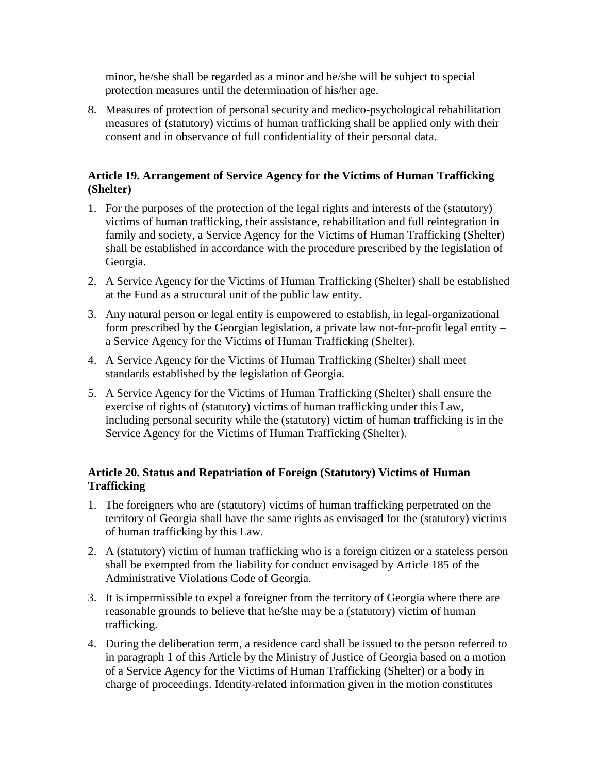minor, he/she shall be regarded as a minor and he/she will be subject to special protection measures until the determination of his/her age.

8. Measures of protection of personal security and medico-psychological rehabilitation measures of (statutory) victims of human trafficking shall be applied only with their consent and in observance of full confidentiality of their personal data.

## **Article 19. Arrangement of Service Agency for the Victims of Human Trafficking (Shelter)**

- 1. For the purposes of the protection of the legal rights and interests of the (statutory) victims of human trafficking, their assistance, rehabilitation and full reintegration in family and society, a Service Agency for the Victims of Human Trafficking (Shelter) shall be established in accordance with the procedure prescribed by the legislation of Georgia.
- 2. A Service Agency for the Victims of Human Trafficking (Shelter) shall be established at the Fund as a structural unit of the public law entity.
- 3. Any natural person or legal entity is empowered to establish, in legal-organizational form prescribed by the Georgian legislation, a private law not-for-profit legal entity – a Service Agency for the Victims of Human Trafficking (Shelter).
- 4. A Service Agency for the Victims of Human Trafficking (Shelter) shall meet standards established by the legislation of Georgia.
- 5. A Service Agency for the Victims of Human Trafficking (Shelter) shall ensure the exercise of rights of (statutory) victims of human trafficking under this Law, including personal security while the (statutory) victim of human trafficking is in the Service Agency for the Victims of Human Trafficking (Shelter).

# **Article 20. Status and Repatriation of Foreign (Statutory) Victims of Human Trafficking**

- 1. The foreigners who are (statutory) victims of human trafficking perpetrated on the territory of Georgia shall have the same rights as envisaged for the (statutory) victims of human trafficking by this Law.
- 2. A (statutory) victim of human trafficking who is a foreign citizen or a stateless person shall be exempted from the liability for conduct envisaged by Article 185 of the Administrative Violations Code of Georgia.
- 3. It is impermissible to expel a foreigner from the territory of Georgia where there are reasonable grounds to believe that he/she may be a (statutory) victim of human trafficking.
- 4. During the deliberation term, a residence card shall be issued to the person referred to in paragraph 1 of this Article by the Ministry of Justice of Georgia based on a motion of a Service Agency for the Victims of Human Trafficking (Shelter) or a body in charge of proceedings. Identity-related information given in the motion constitutes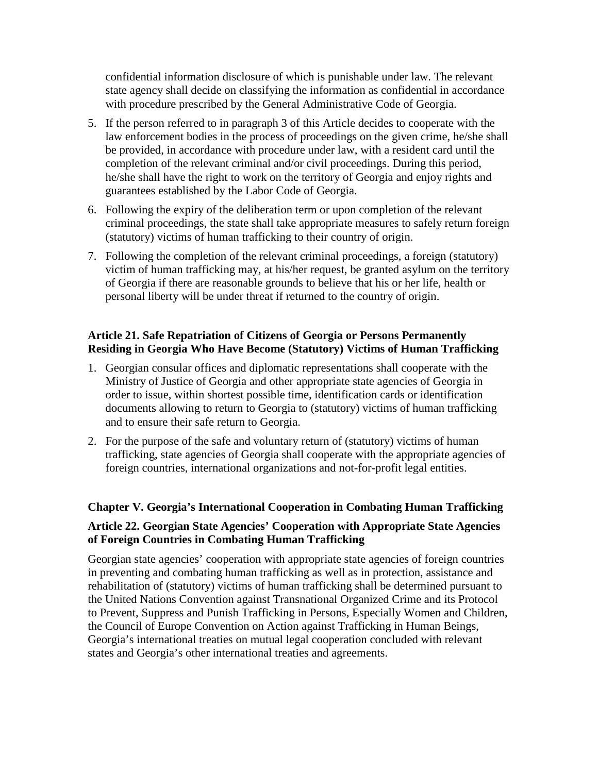confidential information disclosure of which is punishable under law. The relevant state agency shall decide on classifying the information as confidential in accordance with procedure prescribed by the General Administrative Code of Georgia.

- 5. If the person referred to in paragraph 3 of this Article decides to cooperate with the law enforcement bodies in the process of proceedings on the given crime, he/she shall be provided, in accordance with procedure under law, with a resident card until the completion of the relevant criminal and/or civil proceedings. During this period, he/she shall have the right to work on the territory of Georgia and enjoy rights and guarantees established by the Labor Code of Georgia.
- 6. Following the expiry of the deliberation term or upon completion of the relevant criminal proceedings, the state shall take appropriate measures to safely return foreign (statutory) victims of human trafficking to their country of origin.
- 7. Following the completion of the relevant criminal proceedings, a foreign (statutory) victim of human trafficking may, at his/her request, be granted asylum on the territory of Georgia if there are reasonable grounds to believe that his or her life, health or personal liberty will be under threat if returned to the country of origin.

#### **Article 21. Safe Repatriation of Citizens of Georgia or Persons Permanently Residing in Georgia Who Have Become (Statutory) Victims of Human Trafficking**

- 1. Georgian consular offices and diplomatic representations shall cooperate with the Ministry of Justice of Georgia and other appropriate state agencies of Georgia in order to issue, within shortest possible time, identification cards or identification documents allowing to return to Georgia to (statutory) victims of human trafficking and to ensure their safe return to Georgia.
- 2. For the purpose of the safe and voluntary return of (statutory) victims of human trafficking, state agencies of Georgia shall cooperate with the appropriate agencies of foreign countries, international organizations and not-for-profit legal entities.

# **Chapter V. Georgia's International Cooperation in Combating Human Trafficking**

# **Article 22. Georgian State Agencies' Cooperation with Appropriate State Agencies of Foreign Countries in Combating Human Trafficking**

Georgian state agencies' cooperation with appropriate state agencies of foreign countries in preventing and combating human trafficking as well as in protection, assistance and rehabilitation of (statutory) victims of human trafficking shall be determined pursuant to the United Nations Convention against Transnational Organized Crime and its Protocol to Prevent, Suppress and Punish Trafficking in Persons, Especially Women and Children, the Council of Europe Convention on Action against Trafficking in Human Beings, Georgia's international treaties on mutual legal cooperation concluded with relevant states and Georgia's other international treaties and agreements.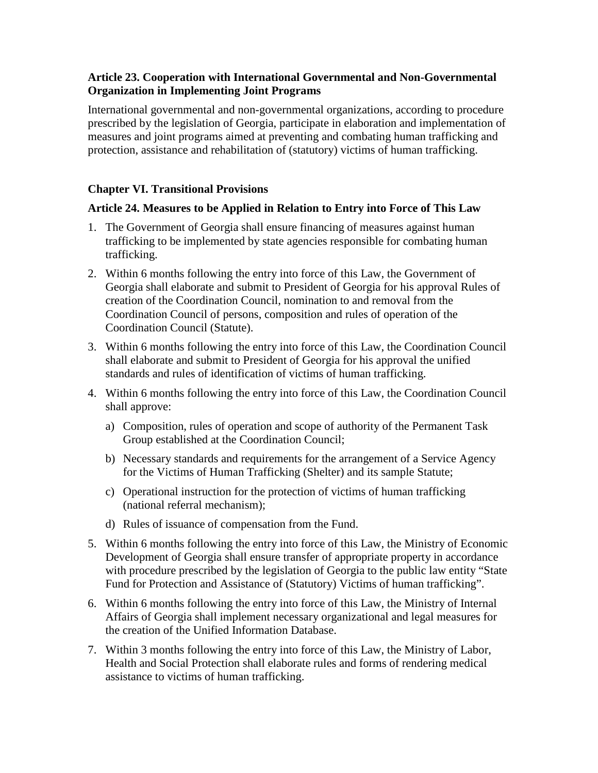## **Article 23. Cooperation with International Governmental and Non-Governmental Organization in Implementing Joint Programs**

International governmental and non-governmental organizations, according to procedure prescribed by the legislation of Georgia, participate in elaboration and implementation of measures and joint programs aimed at preventing and combating human trafficking and protection, assistance and rehabilitation of (statutory) victims of human trafficking.

#### **Chapter VI. Transitional Provisions**

#### **Article 24. Measures to be Applied in Relation to Entry into Force of This Law**

- 1. The Government of Georgia shall ensure financing of measures against human trafficking to be implemented by state agencies responsible for combating human trafficking.
- 2. Within 6 months following the entry into force of this Law, the Government of Georgia shall elaborate and submit to President of Georgia for his approval Rules of creation of the Coordination Council, nomination to and removal from the Coordination Council of persons, composition and rules of operation of the Coordination Council (Statute).
- 3. Within 6 months following the entry into force of this Law, the Coordination Council shall elaborate and submit to President of Georgia for his approval the unified standards and rules of identification of victims of human trafficking.
- 4. Within 6 months following the entry into force of this Law, the Coordination Council shall approve:
	- a) Composition, rules of operation and scope of authority of the Permanent Task Group established at the Coordination Council;
	- b) Necessary standards and requirements for the arrangement of a Service Agency for the Victims of Human Trafficking (Shelter) and its sample Statute;
	- c) Operational instruction for the protection of victims of human trafficking (national referral mechanism);
	- d) Rules of issuance of compensation from the Fund.
- 5. Within 6 months following the entry into force of this Law, the Ministry of Economic Development of Georgia shall ensure transfer of appropriate property in accordance with procedure prescribed by the legislation of Georgia to the public law entity "State Fund for Protection and Assistance of (Statutory) Victims of human trafficking".
- 6. Within 6 months following the entry into force of this Law, the Ministry of Internal Affairs of Georgia shall implement necessary organizational and legal measures for the creation of the Unified Information Database.
- 7. Within 3 months following the entry into force of this Law, the Ministry of Labor, Health and Social Protection shall elaborate rules and forms of rendering medical assistance to victims of human trafficking.